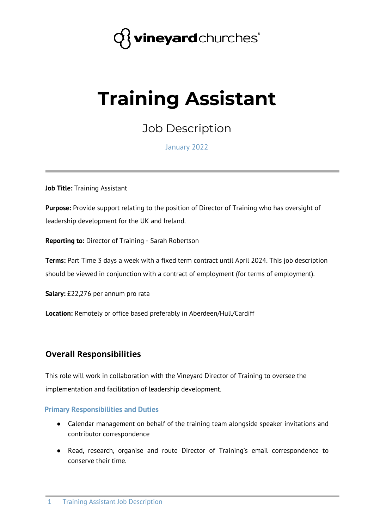

# **Training Assistant**

Job Description

January 2022

**Job Title:** Training Assistant

**Purpose:** Provide support relating to the position of Director of Training who has oversight of leadership development for the UK and Ireland.

**Reporting to:** Director of Training - Sarah Robertson

**Terms:** Part Time 3 days a week with a fixed term contract until April 2024. This job description should be viewed in conjunction with a contract of employment (for terms of employment).

**Salary:** £22,276 per annum pro rata

**Location:** Remotely or office based preferably in Aberdeen/Hull/Cardiff

### **Overall Responsibilities**

This role will work in collaboration with the Vineyard Director of Training to oversee the implementation and facilitation of leadership development.

#### **Primary Responsibilities and Duties**

- Calendar management on behalf of the training team alongside speaker invitations and contributor correspondence
- Read, research, organise and route Director of Training's email correspondence to conserve their time.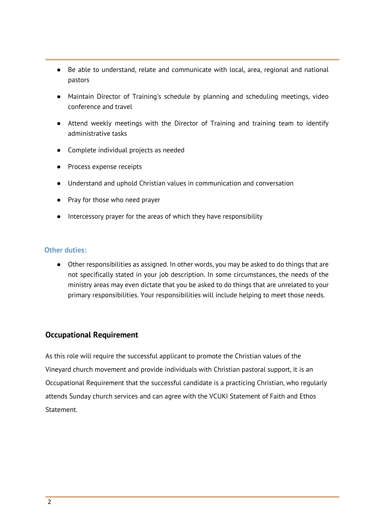- Be able to understand, relate and communicate with local, area, regional and national pastors
- Maintain Director of Training's schedule by planning and scheduling meetings, video conference and travel
- Attend weekly meetings with the Director of Training and training team to identify administrative tasks
- Complete individual projects as needed
- Process expense receipts
- Understand and uphold Christian values in communication and conversation
- Pray for those who need prayer
- Intercessory prayer for the areas of which they have responsibility

### **Other duties:**

● Other responsibilities as assigned. In other words, you may be asked to do things that are not specifically stated in your job description. In some circumstances, the needs of the ministry areas may even dictate that you be asked to do things that are unrelated to your primary responsibilities. Your responsibilities will include helping to meet those needs.

### **Occupational Requirement**

As this role will require the successful applicant to promote the Christian values of the Vineyard church movement and provide individuals with Christian pastoral support, it is an Occupational Requirement that the successful candidate is a practicing Christian, who regularly attends Sunday church services and can agree with the VCUKI Statement of Faith and Ethos Statement.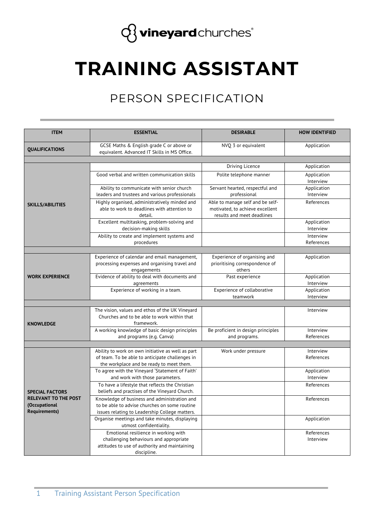

# **TRAINING ASSISTANT**

## PERSON SPECIFICATION

| <b>ITEM</b>                 | <b>ESSENTIAL</b>                                                                                                                                 | <b>DESIRABLE</b>                                                                                  | <b>HOW IDENTIFIED</b>    |
|-----------------------------|--------------------------------------------------------------------------------------------------------------------------------------------------|---------------------------------------------------------------------------------------------------|--------------------------|
| <b>QUALIFICATIONS</b>       | GCSE Maths & English grade C or above or<br>equivalent. Advanced IT Skills in MS Office.                                                         | NVQ 3 or equivalent                                                                               | Application              |
|                             |                                                                                                                                                  |                                                                                                   |                          |
|                             |                                                                                                                                                  | Driving Licence                                                                                   | Application              |
|                             | Good verbal and written communication skills                                                                                                     | Polite telephone manner                                                                           | Application<br>Interview |
|                             | Ability to communicate with senior church<br>leaders and trustees and various professionals                                                      | Servant hearted, respectful and<br>professional                                                   | Application<br>Interview |
| <b>SKILLS/ABILITIES</b>     | Highly organised, administratively minded and<br>able to work to deadlines with attention to<br>detail.                                          | Able to manage self and be self-<br>motivated, to achieve excellent<br>results and meet deadlines | References               |
|                             | Excellent multitasking, problem-solving and<br>decision-making skills                                                                            |                                                                                                   | Application<br>Interview |
|                             | Ability to create and implement systems and<br>procedures                                                                                        |                                                                                                   | Interview<br>References  |
|                             |                                                                                                                                                  |                                                                                                   |                          |
|                             | Experience of calendar and email management,<br>processing expenses and organising travel and<br>engagements                                     | Experience of organising and<br>prioritising correspondence of<br>others                          | Application              |
| <b>WORK EXPERIENCE</b>      | Evidence of ability to deal with documents and<br>agreements                                                                                     | Past experience                                                                                   | Application<br>Interview |
|                             | Experience of working in a team.                                                                                                                 | Experience of collaborative<br>teamwork                                                           | Application<br>Interview |
|                             |                                                                                                                                                  |                                                                                                   |                          |
| <b>KNOWLEDGE</b>            | The vision, values and ethos of the UK Vineyard<br>Churches and to be able to work within that<br>framework.                                     |                                                                                                   | Interview                |
|                             | A working knowledge of basic design principles<br>and programs (e.g. Canva)                                                                      | Be proficient in design principles<br>and programs.                                               | Interview<br>References  |
|                             |                                                                                                                                                  |                                                                                                   |                          |
|                             | Ability to work on own initiative as well as part<br>of team. To be able to anticipate challenges in<br>the workplace and be ready to meet them. | Work under pressure                                                                               | Interview<br>References  |
|                             | To agree with the Vineyard 'Statement of Faith'<br>and work with those parameters.                                                               |                                                                                                   | Application<br>Interview |
|                             | To have a lifestyle that reflects the Christian                                                                                                  |                                                                                                   | References               |
| <b>SPECIAL FACTORS</b>      | beliefs and practises of the Vineyard Church.                                                                                                    |                                                                                                   |                          |
| <b>RELEVANT TO THE POST</b> | Knowledge of business and administration and                                                                                                     |                                                                                                   | References               |
| (Occupational               | to be able to advise churches on some routine                                                                                                    |                                                                                                   |                          |
| <b>Requirements)</b>        | issues relating to Leadership College matters.                                                                                                   |                                                                                                   |                          |
|                             | Organise meetings and take minutes, displaying<br>utmost confidentiality.                                                                        |                                                                                                   | Application              |
|                             | Emotional resilience in working with                                                                                                             |                                                                                                   | References               |
|                             | challenging behaviours and appropriate<br>attitudes to use of authority and maintaining                                                          |                                                                                                   | Interview                |
|                             | discipline.                                                                                                                                      |                                                                                                   |                          |